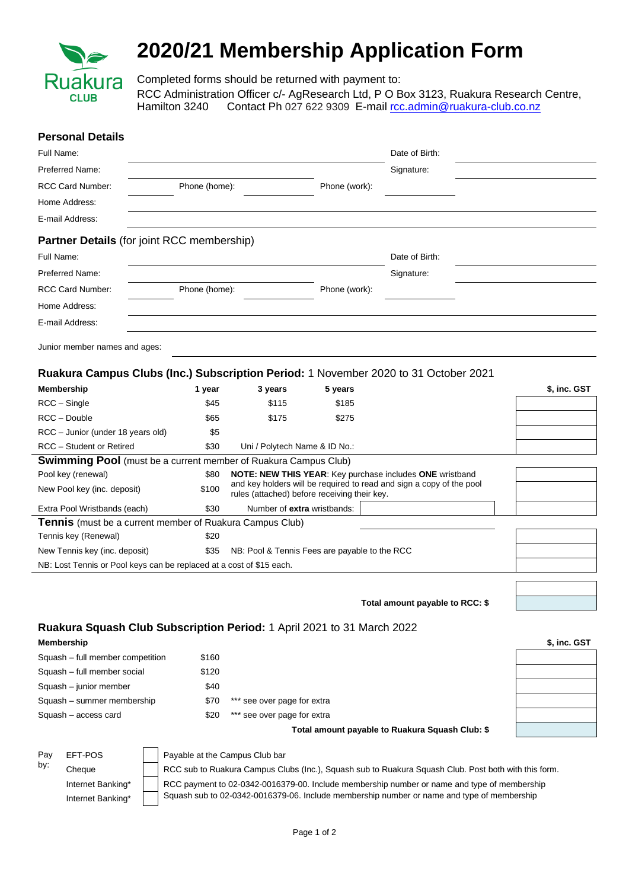

## **2020/21 Membership Application Form**

Completed forms should be returned with payment to: RCC Administration Officer c/- AgResearch Ltd, P O Box 3123, Ruakura Research Centre, Hamilton 3240 Contact Ph 027 622 9309 E-mail roc.admin@ruakura-club.co.nz

|                               | <b>Personal Details</b>                                                |                                                                                                                                                                                                     |                                               |               |  |                                                                                                                                  |              |  |
|-------------------------------|------------------------------------------------------------------------|-----------------------------------------------------------------------------------------------------------------------------------------------------------------------------------------------------|-----------------------------------------------|---------------|--|----------------------------------------------------------------------------------------------------------------------------------|--------------|--|
| Full Name:                    |                                                                        |                                                                                                                                                                                                     |                                               |               |  | Date of Birth:                                                                                                                   |              |  |
|                               | Preferred Name:                                                        |                                                                                                                                                                                                     |                                               |               |  | Signature:                                                                                                                       |              |  |
|                               | RCC Card Number:                                                       | Phone (home):                                                                                                                                                                                       |                                               | Phone (work): |  |                                                                                                                                  |              |  |
|                               | Home Address:                                                          |                                                                                                                                                                                                     |                                               |               |  |                                                                                                                                  |              |  |
|                               | E-mail Address:                                                        |                                                                                                                                                                                                     |                                               |               |  |                                                                                                                                  |              |  |
|                               | <b>Partner Details (for joint RCC membership)</b>                      |                                                                                                                                                                                                     |                                               |               |  |                                                                                                                                  |              |  |
| Full Name:                    |                                                                        |                                                                                                                                                                                                     |                                               |               |  | Date of Birth:                                                                                                                   |              |  |
|                               | Preferred Name:                                                        |                                                                                                                                                                                                     |                                               |               |  | Signature:                                                                                                                       |              |  |
|                               | RCC Card Number:                                                       | Phone (home):                                                                                                                                                                                       |                                               | Phone (work): |  |                                                                                                                                  |              |  |
|                               | Home Address:                                                          |                                                                                                                                                                                                     |                                               |               |  |                                                                                                                                  |              |  |
|                               | E-mail Address:                                                        |                                                                                                                                                                                                     |                                               |               |  |                                                                                                                                  |              |  |
|                               | Junior member names and ages:                                          |                                                                                                                                                                                                     |                                               |               |  |                                                                                                                                  |              |  |
|                               |                                                                        |                                                                                                                                                                                                     |                                               |               |  | Ruakura Campus Clubs (Inc.) Subscription Period: 1 November 2020 to 31 October 2021                                              |              |  |
| <b>Membership</b>             |                                                                        | 1 year                                                                                                                                                                                              | 3 years                                       | 5 years       |  |                                                                                                                                  | \$, inc. GST |  |
| RCC - Single                  |                                                                        | \$45                                                                                                                                                                                                | \$115                                         | \$185         |  |                                                                                                                                  |              |  |
|                               | RCC - Double                                                           | \$65                                                                                                                                                                                                | \$175                                         | \$275         |  |                                                                                                                                  |              |  |
|                               | RCC - Junior (under 18 years old)                                      | \$5                                                                                                                                                                                                 |                                               |               |  |                                                                                                                                  |              |  |
|                               | RCC - Student or Retired                                               | \$30                                                                                                                                                                                                | Uni / Polytech Name & ID No.:                 |               |  |                                                                                                                                  |              |  |
|                               | <b>Swimming Pool</b> (must be a current member of Ruakura Campus Club) |                                                                                                                                                                                                     |                                               |               |  |                                                                                                                                  |              |  |
|                               | Pool key (renewal)                                                     | \$80                                                                                                                                                                                                |                                               |               |  | NOTE: NEW THIS YEAR: Key purchase includes ONE wristband<br>and key holders will be required to read and sign a copy of the pool |              |  |
|                               | New Pool key (inc. deposit)                                            | \$100                                                                                                                                                                                               | rules (attached) before receiving their key.  |               |  |                                                                                                                                  |              |  |
|                               | Extra Pool Wristbands (each)                                           | \$30                                                                                                                                                                                                | Number of extra wristbands:                   |               |  |                                                                                                                                  |              |  |
|                               | <b>Tennis</b> (must be a current member of Ruakura Campus Club)        |                                                                                                                                                                                                     |                                               |               |  |                                                                                                                                  |              |  |
|                               | Tennis key (Renewal)                                                   | \$20                                                                                                                                                                                                |                                               |               |  |                                                                                                                                  |              |  |
| New Tennis key (inc. deposit) |                                                                        | \$35                                                                                                                                                                                                | NB: Pool & Tennis Fees are payable to the RCC |               |  |                                                                                                                                  |              |  |
|                               | NB: Lost Tennis or Pool keys can be replaced at a cost of \$15 each.   |                                                                                                                                                                                                     |                                               |               |  |                                                                                                                                  |              |  |
|                               |                                                                        |                                                                                                                                                                                                     |                                               |               |  |                                                                                                                                  |              |  |
|                               |                                                                        |                                                                                                                                                                                                     |                                               |               |  | Total amount payable to RCC: \$                                                                                                  |              |  |
|                               | Ruakura Squash Club Subscription Period: 1 April 2021 to 31 March 2022 |                                                                                                                                                                                                     |                                               |               |  |                                                                                                                                  |              |  |
| <b>Membership</b>             |                                                                        |                                                                                                                                                                                                     |                                               |               |  |                                                                                                                                  | \$, inc. GST |  |
|                               | Squash - full member competition                                       | \$160                                                                                                                                                                                               |                                               |               |  |                                                                                                                                  |              |  |
| Squash - full member social   |                                                                        | \$120                                                                                                                                                                                               |                                               |               |  |                                                                                                                                  |              |  |
| Squash - junior member        |                                                                        | \$40                                                                                                                                                                                                |                                               |               |  |                                                                                                                                  |              |  |
| Squash - summer membership    |                                                                        | \$70                                                                                                                                                                                                | *** see over page for extra                   |               |  |                                                                                                                                  |              |  |
|                               | Squash - access card                                                   | \$20                                                                                                                                                                                                | *** see over page for extra                   |               |  |                                                                                                                                  |              |  |
|                               |                                                                        |                                                                                                                                                                                                     |                                               |               |  | Total amount payable to Ruakura Squash Club: \$                                                                                  |              |  |
|                               | EFT-POS                                                                |                                                                                                                                                                                                     | Payable at the Campus Club bar                |               |  |                                                                                                                                  |              |  |
| Pay<br>by:                    |                                                                        |                                                                                                                                                                                                     |                                               |               |  |                                                                                                                                  |              |  |
|                               | Cheque                                                                 | RCC sub to Ruakura Campus Clubs (Inc.), Squash sub to Ruakura Squash Club. Post both with this form.<br>RCC payment to 02-0342-0016379-00. Include membership number or name and type of membership |                                               |               |  |                                                                                                                                  |              |  |
|                               | Internet Banking*<br>Internet Banking*                                 |                                                                                                                                                                                                     |                                               |               |  | Squash sub to 02-0342-0016379-06. Include membership number or name and type of membership                                       |              |  |